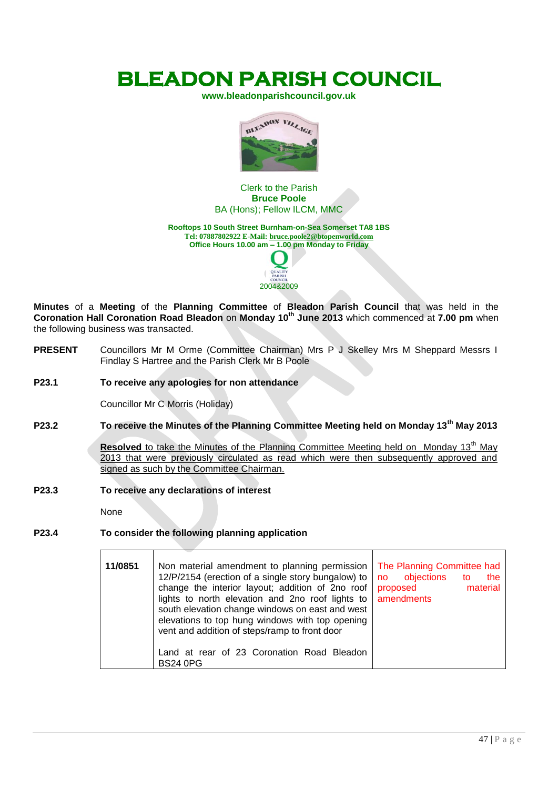# **BLEADON PARISH COUNCIL**

**[www.bleadonparishcouncil.gov.uk](http://www.bleadonparishcouncil.gov.uk/)**



## Clerk to the Parish **Bruce Poole**  BA (Hons); Fellow ILCM, MMC

**Rooftops 10 South Street Burnham-on-Sea Somerset TA8 1BS Tel: 07887802922 E-Mail[: bruce.poole2@btopenworld.com](mailto:bruce.poole2@btopenworld.com) Office Hours 10.00 am – 1.00 pm Monday to Friday**



**Minutes** of a **Meeting** of the **Planning Committee** of **Bleadon Parish Council** that was held in the **Coronation Hall Coronation Road Bleadon** on **Monday 10th June 2013** which commenced at **7.00 pm** when the following business was transacted.

### **PRESENT** Councillors Mr M Orme (Committee Chairman) Mrs P J Skelley Mrs M Sheppard Messrs I Findlay S Hartree and the Parish Clerk Mr B Poole

### **P23.1 To receive any apologies for non attendance**

Councillor Mr C Morris (Holiday)

## **P23.2 To receive the Minutes of the Planning Committee Meeting held on Monday 13th May 2013**

Resolved to take the Minutes of the Planning Committee Meeting held on Monday 13<sup>th</sup> May 2013 that were previously circulated as read which were then subsequently approved and signed as such by the Committee Chairman.

### **P23.3 To receive any declarations of interest**

None

## **P23.4 To consider the following planning application**

| 11/0851 | Non material amendment to planning permission<br>12/P/2154 (erection of a single story bungalow) to<br>change the interior layout; addition of 2no roof<br>lights to north elevation and 2no roof lights to<br>south elevation change windows on east and west<br>elevations to top hung windows with top opening<br>vent and addition of steps/ramp to front door | The Planning Committee had<br>objections<br>the<br>no<br>to<br>material<br>proposed<br>amendments |
|---------|--------------------------------------------------------------------------------------------------------------------------------------------------------------------------------------------------------------------------------------------------------------------------------------------------------------------------------------------------------------------|---------------------------------------------------------------------------------------------------|
|         | Land at rear of 23 Coronation Road Bleadon<br><b>BS24 0PG</b>                                                                                                                                                                                                                                                                                                      |                                                                                                   |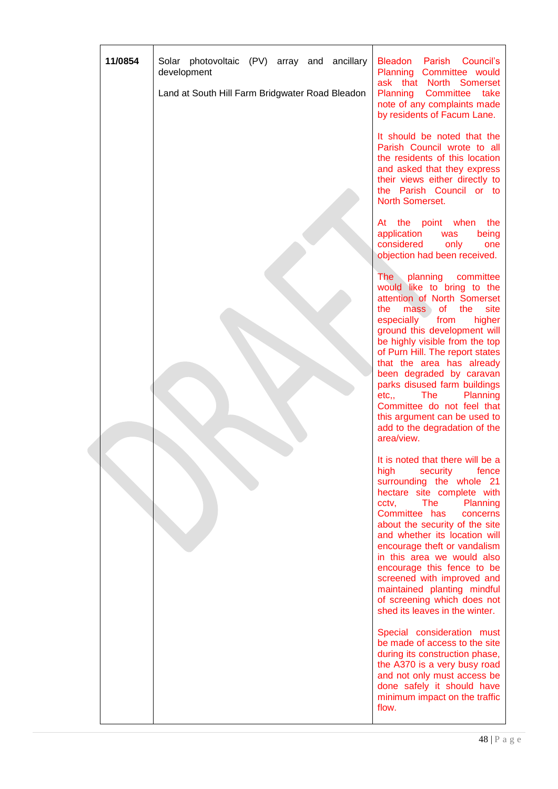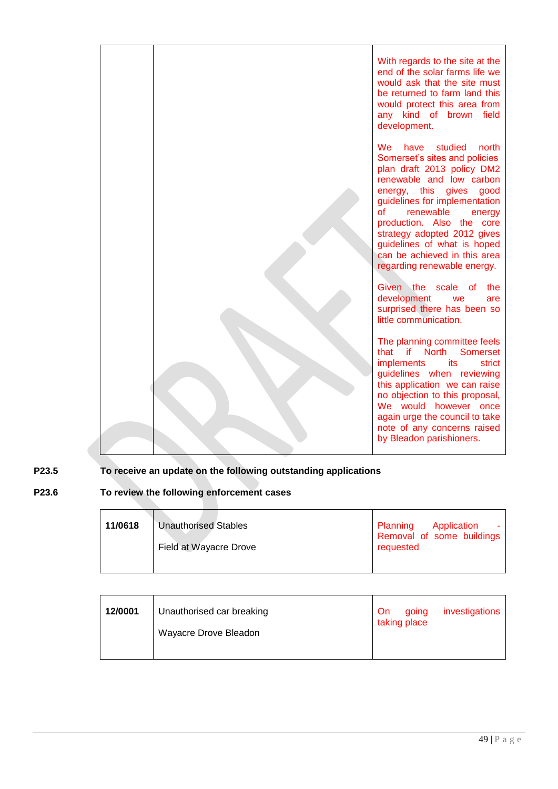

# **P23.5 To receive an update on the following outstanding applications**

## **P23.6 To review the following enforcement cases**

| 11/0618<br><b>Unauthorised Stables</b><br>Field at Wayacre Drove | Planning<br>Application<br>٠<br>Removal of some buildings<br>requested |
|------------------------------------------------------------------|------------------------------------------------------------------------|
|------------------------------------------------------------------|------------------------------------------------------------------------|

| 12/0001 | Unauthorised car breaking<br>Wayacre Drove Bleadon | investigations<br><b>On</b><br>going<br>taking place |
|---------|----------------------------------------------------|------------------------------------------------------|
|         |                                                    |                                                      |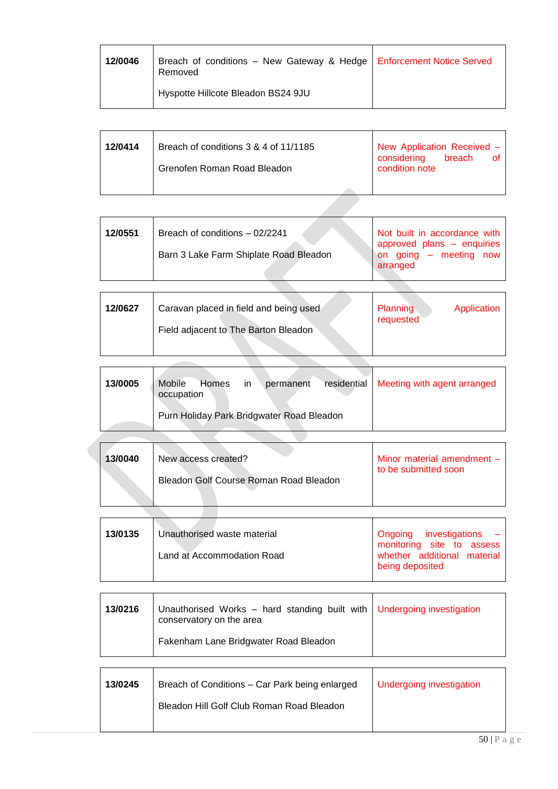| 12/0046 | Breach of conditions – New Gateway & Hedge   Enforcement Notice Served<br>Removed |  |
|---------|-----------------------------------------------------------------------------------|--|
|         | Hyspotte Hillcote Bleadon BS24 9JU                                                |  |

| 12/0414 | Breach of conditions 3 & 4 of 11/1185 | New Application Received -<br>breach<br>considering |  |
|---------|---------------------------------------|-----------------------------------------------------|--|
|         | Grenofen Roman Road Bleadon           | condition note                                      |  |
|         |                                       |                                                     |  |

| 12/0551 | Breach of conditions - 02/2241<br>Barn 3 Lake Farm Shiplate Road Bleadon | Not built in accordance with<br>approved plans - enquiries<br>on going - meeting now<br>arranged |
|---------|--------------------------------------------------------------------------|--------------------------------------------------------------------------------------------------|
|         |                                                                          |                                                                                                  |

| 12/0627 | Caravan placed in field and being used | Planning<br>Application<br>requested |
|---------|----------------------------------------|--------------------------------------|
|         | Field adjacent to The Barton Bleadon   |                                      |
|         |                                        |                                      |

| 13/0005 | Mobile<br>Homes<br>in.<br>permanent<br>occupation | residential   Meeting with agent arranged |
|---------|---------------------------------------------------|-------------------------------------------|
|         | Purn Holiday Park Bridgwater Road Bleadon         |                                           |
|         |                                                   |                                           |

| 13/0040 | New access created?                    | Minor material amendment - |
|---------|----------------------------------------|----------------------------|
|         | Bleadon Golf Course Roman Road Bleadon | to be submitted soon       |

| 13/0135 | Unauthorised waste material | Ongoing investigations -                                                    |
|---------|-----------------------------|-----------------------------------------------------------------------------|
|         | Land at Accommodation Road  | monitoring site to assess<br>whether additional material<br>being deposited |

| 13/0216 | Unauthorised Works – hard standing built with   Undergoing investigation<br>conservatory on the area |  |
|---------|------------------------------------------------------------------------------------------------------|--|
|         | Fakenham Lane Bridgwater Road Bleadon                                                                |  |

| 13/0245 | Breach of Conditions - Car Park being enlarged | Undergoing investigation |
|---------|------------------------------------------------|--------------------------|
|         | Bleadon Hill Golf Club Roman Road Bleadon      |                          |